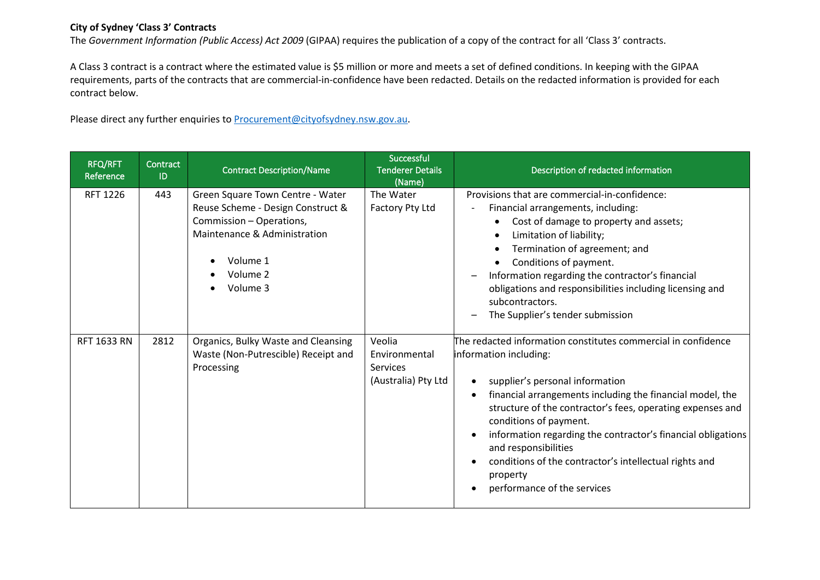## **City of Sydney 'Class 3' Contracts**

The *Government Information (Public Access) Act 2009* (GIPAA) requires the publication of a copy of the contract for all 'Class 3' contracts.

A Class 3 contract is a contract where the estimated value is \$5 million or more and meets a set of defined conditions. In keeping with the GIPAA requirements, parts of the contracts that are commercial-in-confidence have been redacted. Details on the redacted information is provided for each contract below.

Please direct any further enquiries to [Procurement@cityofsydney.nsw.gov.au.](mailto:Procurement@cityofsydney.nsw.gov.au)

| <b>RFQ/RFT</b><br>Reference | Contract<br>ID | <b>Contract Description/Name</b>                                                                                                                                      | Successful<br><b>Tenderer Details</b><br>(Name)                   | Description of redacted information                                                                                                                                                                                                                                                                                                                                                                                                                                                                                              |
|-----------------------------|----------------|-----------------------------------------------------------------------------------------------------------------------------------------------------------------------|-------------------------------------------------------------------|----------------------------------------------------------------------------------------------------------------------------------------------------------------------------------------------------------------------------------------------------------------------------------------------------------------------------------------------------------------------------------------------------------------------------------------------------------------------------------------------------------------------------------|
| <b>RFT 1226</b>             | 443            | Green Square Town Centre - Water<br>Reuse Scheme - Design Construct &<br>Commission - Operations,<br>Maintenance & Administration<br>Volume 1<br>Volume 2<br>Volume 3 | The Water<br>Factory Pty Ltd                                      | Provisions that are commercial-in-confidence:<br>Financial arrangements, including:<br>Cost of damage to property and assets;<br>Limitation of liability;<br>Termination of agreement; and<br>Conditions of payment.<br>Information regarding the contractor's financial<br>obligations and responsibilities including licensing and<br>subcontractors.<br>The Supplier's tender submission                                                                                                                                      |
| <b>RFT 1633 RN</b>          | 2812           | Organics, Bulky Waste and Cleansing<br>Waste (Non-Putrescible) Receipt and<br>Processing                                                                              | Veolia<br>Environmental<br><b>Services</b><br>(Australia) Pty Ltd | The redacted information constitutes commercial in confidence<br>information including:<br>supplier's personal information<br>$\bullet$<br>financial arrangements including the financial model, the<br>$\bullet$<br>structure of the contractor's fees, operating expenses and<br>conditions of payment.<br>information regarding the contractor's financial obligations<br>$\bullet$<br>and responsibilities<br>conditions of the contractor's intellectual rights and<br>$\bullet$<br>property<br>performance of the services |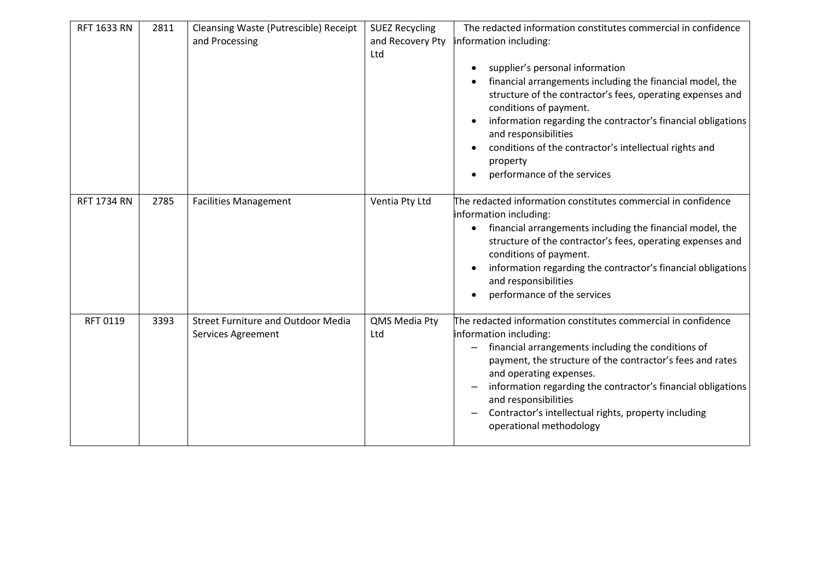| <b>RFT 1633 RN</b> | 2811 | Cleansing Waste (Putrescible) Receipt<br>and Processing         | <b>SUEZ Recycling</b><br>and Recovery Pty<br>Ltd | The redacted information constitutes commercial in confidence<br>information including:<br>supplier's personal information<br>financial arrangements including the financial model, the<br>structure of the contractor's fees, operating expenses and<br>conditions of payment.<br>information regarding the contractor's financial obligations<br>and responsibilities<br>conditions of the contractor's intellectual rights and<br>property<br>performance of the services<br>$\bullet$ |
|--------------------|------|-----------------------------------------------------------------|--------------------------------------------------|-------------------------------------------------------------------------------------------------------------------------------------------------------------------------------------------------------------------------------------------------------------------------------------------------------------------------------------------------------------------------------------------------------------------------------------------------------------------------------------------|
| <b>RFT 1734 RN</b> | 2785 | <b>Facilities Management</b>                                    | Ventia Pty Ltd                                   | The redacted information constitutes commercial in confidence<br>information including:<br>financial arrangements including the financial model, the<br>structure of the contractor's fees, operating expenses and<br>conditions of payment.<br>information regarding the contractor's financial obligations<br>and responsibilities<br>performance of the services                                                                                                                       |
| RFT 0119           | 3393 | <b>Street Furniture and Outdoor Media</b><br>Services Agreement | QMS Media Pty<br>Ltd                             | The redacted information constitutes commercial in confidence<br>information including:<br>financial arrangements including the conditions of<br>payment, the structure of the contractor's fees and rates<br>and operating expenses.<br>information regarding the contractor's financial obligations<br>and responsibilities<br>Contractor's intellectual rights, property including<br>operational methodology                                                                          |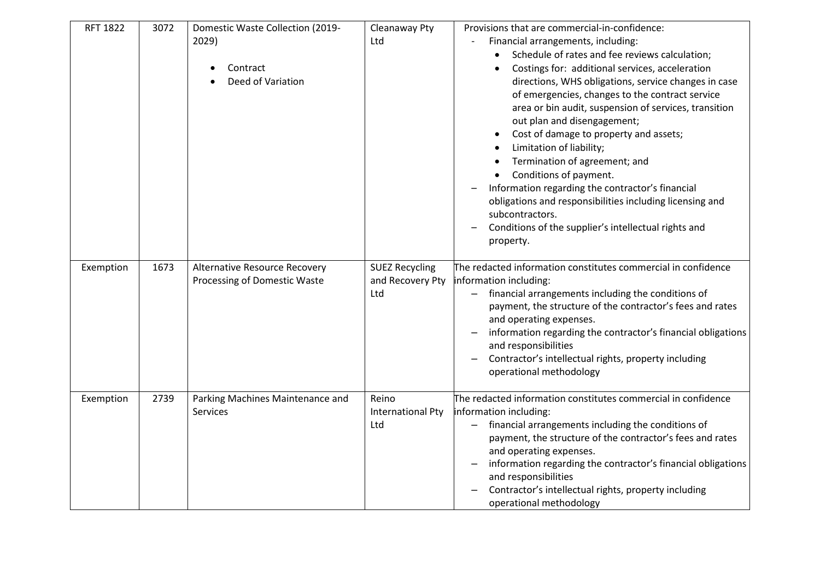| <b>RFT 1822</b> | 3072 | Domestic Waste Collection (2019-<br>2029)<br>Contract<br>$\bullet$<br>Deed of Variation | Cleanaway Pty<br>Ltd                             | Provisions that are commercial-in-confidence:<br>Financial arrangements, including:<br>Schedule of rates and fee reviews calculation;<br>Costings for: additional services, acceleration<br>directions, WHS obligations, service changes in case<br>of emergencies, changes to the contract service<br>area or bin audit, suspension of services, transition<br>out plan and disengagement;<br>Cost of damage to property and assets;<br>$\bullet$<br>Limitation of liability;<br>$\bullet$<br>Termination of agreement; and<br>$\bullet$<br>Conditions of payment.<br>Information regarding the contractor's financial<br>obligations and responsibilities including licensing and<br>subcontractors.<br>Conditions of the supplier's intellectual rights and<br>property. |
|-----------------|------|-----------------------------------------------------------------------------------------|--------------------------------------------------|-----------------------------------------------------------------------------------------------------------------------------------------------------------------------------------------------------------------------------------------------------------------------------------------------------------------------------------------------------------------------------------------------------------------------------------------------------------------------------------------------------------------------------------------------------------------------------------------------------------------------------------------------------------------------------------------------------------------------------------------------------------------------------|
| Exemption       | 1673 | Alternative Resource Recovery<br>Processing of Domestic Waste                           | <b>SUEZ Recycling</b><br>and Recovery Pty<br>Ltd | The redacted information constitutes commercial in confidence<br>information including:<br>financial arrangements including the conditions of<br>$-$<br>payment, the structure of the contractor's fees and rates<br>and operating expenses.<br>information regarding the contractor's financial obligations<br>and responsibilities<br>Contractor's intellectual rights, property including<br>operational methodology                                                                                                                                                                                                                                                                                                                                                     |
| Exemption       | 2739 | Parking Machines Maintenance and<br><b>Services</b>                                     | Reino<br><b>International Pty</b><br>Ltd         | The redacted information constitutes commercial in confidence<br>information including:<br>financial arrangements including the conditions of<br>payment, the structure of the contractor's fees and rates<br>and operating expenses.<br>information regarding the contractor's financial obligations<br>and responsibilities<br>Contractor's intellectual rights, property including<br>operational methodology                                                                                                                                                                                                                                                                                                                                                            |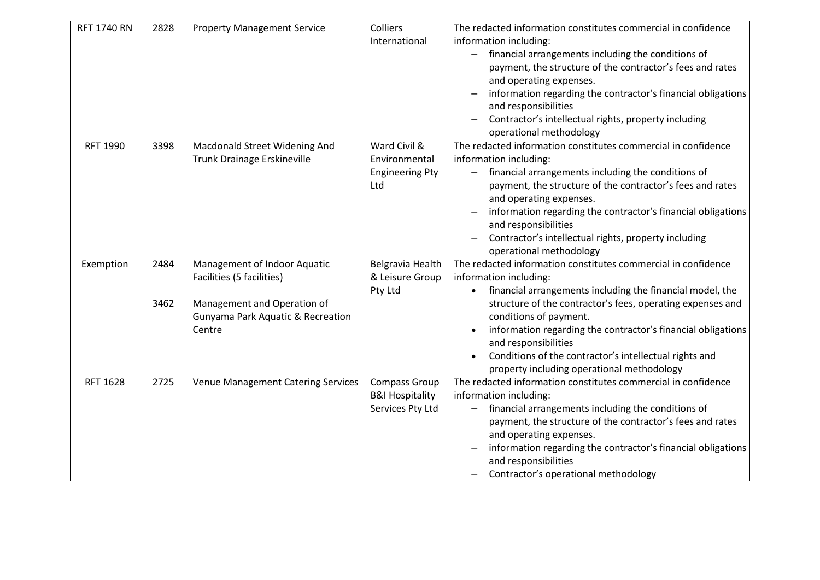| <b>RFT 1740 RN</b> | 2828 | <b>Property Management Service</b>                                         | Colliers<br>International                                       | The redacted information constitutes commercial in confidence<br>information including:<br>financial arrangements including the conditions of<br>$\overline{\phantom{0}}$<br>payment, the structure of the contractor's fees and rates<br>and operating expenses.<br>information regarding the contractor's financial obligations<br>and responsibilities                                                                             |
|--------------------|------|----------------------------------------------------------------------------|-----------------------------------------------------------------|---------------------------------------------------------------------------------------------------------------------------------------------------------------------------------------------------------------------------------------------------------------------------------------------------------------------------------------------------------------------------------------------------------------------------------------|
|                    |      |                                                                            |                                                                 | Contractor's intellectual rights, property including<br>operational methodology                                                                                                                                                                                                                                                                                                                                                       |
| <b>RFT 1990</b>    | 3398 | Macdonald Street Widening And<br>Trunk Drainage Erskineville               | Ward Civil &<br>Environmental<br><b>Engineering Pty</b><br>Ltd  | The redacted information constitutes commercial in confidence<br>information including:<br>financial arrangements including the conditions of<br>payment, the structure of the contractor's fees and rates<br>and operating expenses.<br>information regarding the contractor's financial obligations<br>and responsibilities<br>Contractor's intellectual rights, property including<br>$\qquad \qquad -$<br>operational methodology |
| Exemption          | 2484 | Management of Indoor Aquatic<br>Facilities (5 facilities)                  | Belgravia Health<br>& Leisure Group                             | The redacted information constitutes commercial in confidence<br>information including:                                                                                                                                                                                                                                                                                                                                               |
|                    | 3462 | Management and Operation of<br>Gunyama Park Aquatic & Recreation<br>Centre | Pty Ltd                                                         | financial arrangements including the financial model, the<br>structure of the contractor's fees, operating expenses and<br>conditions of payment.<br>information regarding the contractor's financial obligations<br>and responsibilities<br>Conditions of the contractor's intellectual rights and<br>property including operational methodology                                                                                     |
| <b>RFT 1628</b>    | 2725 | <b>Venue Management Catering Services</b>                                  | Compass Group<br><b>B&amp;I Hospitality</b><br>Services Pty Ltd | The redacted information constitutes commercial in confidence<br>information including:<br>financial arrangements including the conditions of<br>payment, the structure of the contractor's fees and rates<br>and operating expenses.<br>information regarding the contractor's financial obligations<br>and responsibilities<br>Contractor's operational methodology                                                                 |